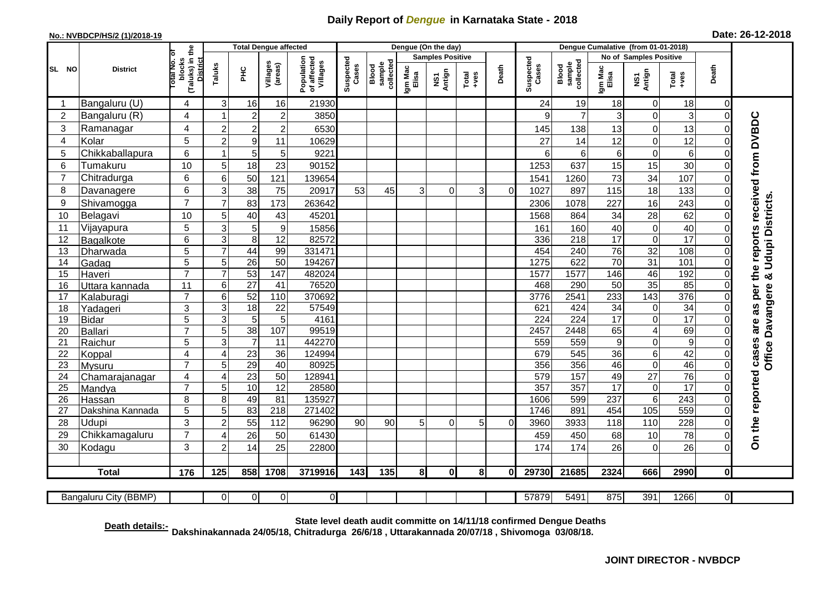## **Daily Report of** *Dengue* **in Karnataka State - 2018**

## **No.: NVBDCP/HS/2 (1)/2018-19 Date: 26-12-2018**

|                                                                                                                                                  | <b>District</b>          |                                                              | <b>Total Dengue affected</b> |                 |                     |                                       |                    |                              |                         | Dengue (On the day) |               |          |                    |                              |                  |                         |                  |                            |                                            |
|--------------------------------------------------------------------------------------------------------------------------------------------------|--------------------------|--------------------------------------------------------------|------------------------------|-----------------|---------------------|---------------------------------------|--------------------|------------------------------|-------------------------|---------------------|---------------|----------|--------------------|------------------------------|------------------|-------------------------|------------------|----------------------------|--------------------------------------------|
|                                                                                                                                                  |                          |                                                              |                              |                 |                     |                                       | Suspected<br>Cases |                              | <b>Samples Positive</b> |                     |               |          |                    |                              |                  | No of Samples Positive  |                  |                            |                                            |
| SL NO                                                                                                                                            |                          | (Taluks) in the<br>lotal No. ol<br>blocks<br><b>District</b> | Taluks                       | $rac{C}{D}$     | Villages<br>(areas) | Population<br>of affected<br>Villages |                    | sample<br>collected<br>Blood | Igm Mac<br>Elisa        | NS1<br>Antign       | Total<br>+ves | Death    | Suspected<br>Cases | collected<br>sample<br>Blood | Igm Mac<br>Elisa | NS1<br>Antign           |                  | Death                      |                                            |
| -1                                                                                                                                               | Bangaluru (U)            | 4                                                            | 3                            | 16              | 16                  | 21930                                 |                    |                              |                         |                     |               |          | 24                 | 19                           | 18               | 0                       | 18               | $\mathbf 0$                |                                            |
| $\overline{2}$                                                                                                                                   | Bangaluru (R)            | 4                                                            | $\overline{\mathbf{1}}$      | $\overline{c}$  | $\overline{c}$      | 3850                                  |                    |                              |                         |                     |               |          | 9                  | $\overline{7}$               | 3                | $\mathbf 0$             | 3                | $\mathbf 0$                |                                            |
| 3                                                                                                                                                | Ramanagar                | 4                                                            | $\overline{c}$               | $\mathbf 2$     | $\overline{2}$      | 6530                                  |                    |                              |                         |                     |               |          | 145                | 138                          | 13               | $\mathbf 0$             | 13               | $\Omega$                   | are as per the reports received from DVBDC |
| 4                                                                                                                                                | Kolar                    | 5                                                            | $\overline{2}$               | 9               | 11                  | 10629                                 |                    |                              |                         |                     |               |          | 27                 | 14                           | 12               | $\mathbf 0$             | 12               | $\mathbf 0$                |                                            |
| 5                                                                                                                                                | Chikkaballapura          | 6                                                            | -1                           | $5\phantom{.0}$ | 5                   | 9221                                  |                    |                              |                         |                     |               |          | 6                  | 6                            | 6                | $\mathbf 0$             | 6                | $\mathbf 0$                |                                            |
| 6                                                                                                                                                | Tumakuru                 | 10                                                           | 5                            | 18              | 23                  | 90152                                 |                    |                              |                         |                     |               |          | 1253               | 637                          | 15               | 15                      | 30               | $\Omega$                   |                                            |
| $\overline{7}$                                                                                                                                   | Chitradurga              | 6                                                            | 6                            | 50              | 121                 | 139654                                |                    |                              |                         |                     |               |          | 1541               | 1260                         | 73               | $\overline{34}$         | 107              | $\mathbf 0$                |                                            |
| 8                                                                                                                                                | Davanagere               | 6                                                            | 3                            | 38              | 75                  | 20917                                 | 53                 | 45                           | 3                       | 0                   | 3             | $\Omega$ | 1027               | 897                          | 115              | 18                      | 133              | $\Omega$                   |                                            |
| 9                                                                                                                                                | Shivamogga               | $\overline{7}$                                               | 7                            | 83              | 173                 | 263642                                |                    |                              |                         |                     |               |          | 2306               | 1078                         | 227              | 16                      | 243              | $\mathbf 0$                |                                            |
| 10                                                                                                                                               | Belagavi                 | 10                                                           | 5                            | 40              | 43                  | 45201                                 |                    |                              |                         |                     |               |          | 1568               | 864                          | 34               | 28                      | 62               | $\mathbf 0$                | <b>Udupi Districts</b>                     |
| 11                                                                                                                                               | Vijayapura               | $\overline{5}$                                               | 3                            | 5               | $\boldsymbol{9}$    | 15856                                 |                    |                              |                         |                     |               |          | 161                | 160                          | 40               | $\mathbf 0$             | 40               | $\Omega$                   |                                            |
| 12                                                                                                                                               | Bagalkote                | 6                                                            | 3                            | $\bf 8$         | $\overline{12}$     | 82572                                 |                    |                              |                         |                     |               |          | 336                | 218                          | $\overline{17}$  | $\mathbf 0$             | $\overline{17}$  | $\mathbf 0$                |                                            |
| 13                                                                                                                                               | Dharwada                 | $\overline{5}$                                               | $\overline{7}$               | 44              | 99                  | 331471                                |                    |                              |                         |                     |               |          | 454                | 240                          | 76               | 32                      | 108              | $\overline{0}$             |                                            |
| 14                                                                                                                                               | Gadag                    | $\overline{5}$                                               | 5                            | $\overline{26}$ | 50                  | 194267                                |                    |                              |                         |                     |               |          | 1275               | 622                          | 70               | 31                      | 101              | $\mathbf 0$                |                                            |
| 15                                                                                                                                               | Haveri                   | $\overline{7}$                                               | $\overline{7}$               | 53              | 147                 | 482024                                |                    |                              |                         |                     |               |          | 1577               | 1577                         | 146              | 46                      | 192              | $\mathbf 0$                | ಳ                                          |
| 16                                                                                                                                               | Uttara kannada           | 11                                                           | 6                            | $\overline{27}$ | 41                  | 76520                                 |                    |                              |                         |                     |               |          | 468                | 290                          | 50               | 35                      | 85               | $\Omega$                   |                                            |
| 17                                                                                                                                               | Kalaburagi               | $\overline{7}$                                               | 6                            | 52              | 110                 | 370692                                |                    |                              |                         |                     |               |          | 3776               | 2541                         | 233              | $\overline{143}$        | 376              | $\Omega$                   |                                            |
| 18                                                                                                                                               | Yadageri                 | 3                                                            | 3                            | 18              | 22                  | 57549                                 |                    |                              |                         |                     |               |          | 621                | 424                          | 34               | $\mathbf 0$             | 34               | $\Omega$                   |                                            |
| 19                                                                                                                                               | <b>Bidar</b>             | 5                                                            | 3                            | $5\phantom{.0}$ | 5                   | 4161                                  |                    |                              |                         |                     |               |          | $\overline{224}$   | $\overline{224}$             | $\overline{17}$  | $\overline{0}$          | $\overline{17}$  | $\Omega$                   |                                            |
| 20                                                                                                                                               | <b>Ballari</b>           | $\overline{7}$                                               | 5                            | 38              | 107                 | 99519                                 |                    |                              |                         |                     |               |          | 2457               | 2448                         | 65               | $\overline{\mathbf{4}}$ | 69               | $\Omega$                   | Office Davangere                           |
| 21                                                                                                                                               | Raichur                  | $\overline{5}$                                               | 3                            | $\overline{7}$  | $\overline{11}$     | 442270                                |                    |                              |                         |                     |               |          | 559                | 559                          | $\boldsymbol{9}$ | $\mathbf 0$             | $\overline{9}$   | $\mathbf 0$                |                                            |
| 22<br>23                                                                                                                                         | Koppal                   | 4<br>$\overline{7}$                                          | $\overline{A}$<br>5          | 23<br>29        | 36<br>40            | 124994<br>80925                       |                    |                              |                         |                     |               |          | 679<br>356         | 545<br>356                   | 36<br>46         | 6<br>$\overline{0}$     | 42<br>46         | $\mathbf 0$<br>$\mathbf 0$ |                                            |
| 24                                                                                                                                               | Mysuru                   | 4                                                            | $\overline{4}$               | 23              | $\overline{50}$     | 128941                                |                    |                              |                         |                     |               |          | 579                | 157                          | 49               | $\overline{27}$         | 76               | $\overline{0}$             |                                            |
| 25                                                                                                                                               | Chamarajanagar<br>Mandya | $\overline{7}$                                               | 5                            | $\overline{10}$ | 12                  | 28580                                 |                    |                              |                         |                     |               |          | 357                | 357                          | $\overline{17}$  | $\mathbf 0$             | $\overline{17}$  | $\mathbf 0$                |                                            |
| 26                                                                                                                                               | Hassan                   | 8                                                            | 8                            | 49              | $\overline{81}$     | 135927                                |                    |                              |                         |                     |               |          | 1606               | 599                          | 237              | $\overline{6}$          | $\overline{243}$ | $\mathbf 0$                |                                            |
| 27                                                                                                                                               | Dakshina Kannada         | 5                                                            | 5                            | 83              | $\overline{218}$    | 271402                                |                    |                              |                         |                     |               |          | 1746               | 891                          | 454              | 105                     | 559              | $\mathbf 0$                |                                            |
| 28                                                                                                                                               | Udupi                    | $\overline{3}$                                               | $\overline{2}$               | 55              | 112                 | 96290                                 | 90 <sup>1</sup>    | 90                           | 5                       | $\Omega$            | 5             | $\Omega$ | 3960               | 3933                         | 118              | 110                     | 228              | $\Omega$                   | On the reported cases                      |
| 29                                                                                                                                               | Chikkamagaluru           | $\overline{7}$                                               | Δ                            | 26              | 50                  | 61430                                 |                    |                              |                         |                     |               |          | 459                | 450                          | 68               | 10                      | 78               | $\Omega$                   |                                            |
| 30                                                                                                                                               | Kodagu                   | 3                                                            | $\overline{2}$               | 14              | 25                  | 22800                                 |                    |                              |                         |                     |               |          | 174                | 174                          | 26               | $\mathbf 0$             | 26               | $\Omega$                   |                                            |
|                                                                                                                                                  |                          |                                                              |                              |                 |                     |                                       |                    |                              |                         |                     |               |          |                    |                              |                  |                         |                  |                            |                                            |
|                                                                                                                                                  | <b>Total</b>             | 176                                                          | 125                          | 858             | 1708                | 3719916                               | 143                | 135                          | 8 <sup>1</sup>          | $\mathbf{0}$        | 81            | 0I       | 29730              | 21685                        | 2324             | 666                     | 2990             | 0                          |                                            |
| $\overline{0}$<br>$\overline{0}$<br>$\overline{0}$<br>57879<br>5491<br>875<br>391<br>1266<br>$\overline{0}$<br>Bangaluru City (BBMP)<br>$\Omega$ |                          |                                                              |                              |                 |                     |                                       |                    |                              |                         |                     |               |          |                    |                              |                  |                         |                  |                            |                                            |

**Death details:- State level death audit committe on 14/11/18 confirmed Dengue Deaths Dakshinakannada 24/05/18, Chitradurga 26/6/18 , Uttarakannada 20/07/18 , Shivomoga 03/08/18.**